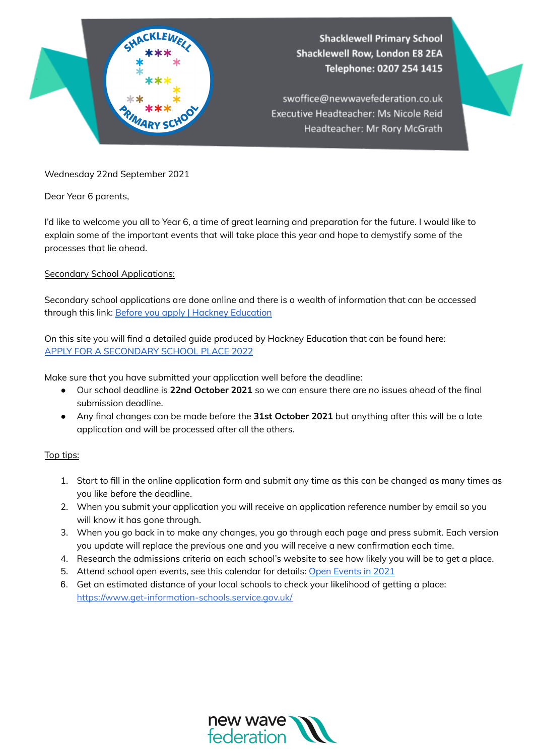

Wednesday 22nd September 2021

Dear Year 6 parents,

I'd like to welcome you all to Year 6, a time of great learning and preparation for the future. I would like to explain some of the important events that will take place this year and hope to demystify some of the processes that lie ahead.

## Secondary School Applications:

Secondary school applications are done online and there is a wealth of information that can be accessed through this link: Before you apply | Hackney [Education](https://education.hackney.gov.uk/content/secondary-before-you-apply?guidebook=189)

On this site you will find a detailed guide produced by Hackney Education that can be found here: APPLY FOR A [SECONDARY](https://education.hackney.gov.uk/sites/default/files/document/secondary-admission-leaflet.pdf) SCHOOL PLACE 2022

Make sure that you have submitted your application well before the deadline:

- Our school deadline is **22nd October 2021** so we can ensure there are no issues ahead of the final submission deadline.
- Any final changes can be made before the **31st October 2021** but anything after this will be a late application and will be processed after all the others.

## Top tips:

- 1. Start to fill in the online application form and submit any time as this can be changed as many times as you like before the deadline.
- 2. When you submit your application you will receive an application reference number by email so you will know it has gone through.
- 3. When you go back in to make any changes, you go through each page and press submit. Each version you update will replace the previous one and you will receive a new confirmation each time.
- 4. Research the admissions criteria on each school's website to see how likely you will be to get a place.
- 5. Attend school open events, see this calendar for details: Open [Events](https://education.hackney.gov.uk/sites/default/files/document/Hackney%20Secondary%20School%20Open%20Events%202021.pdf) in 2021
- 6. Get an estimated distance of your local schools to check your likelihood of getting a place: <https://www.get-information-schools.service.gov.uk/>